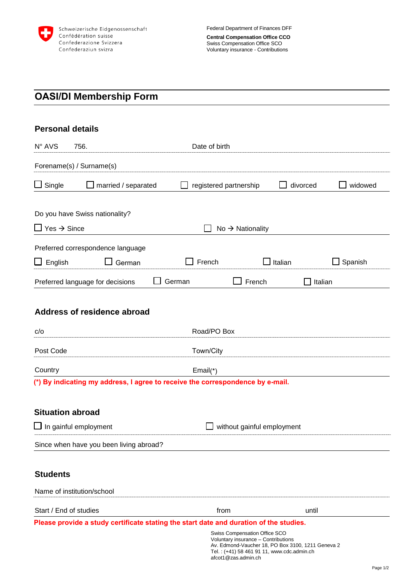

# **OASI/DI Membership Form**

| <b>Personal details</b> |  |
|-------------------------|--|
|-------------------------|--|

| N° AVS                         | 756.                                                                                   | Date of birth |                                                                                                                    |                                                   |              |
|--------------------------------|----------------------------------------------------------------------------------------|---------------|--------------------------------------------------------------------------------------------------------------------|---------------------------------------------------|--------------|
|                                | Forename(s) / Surname(s)                                                               |               |                                                                                                                    |                                                   |              |
| $\Box$ Single                  | married / separated                                                                    |               | registered partnership                                                                                             | divorced                                          | widowed      |
| $\Box$ Yes $\rightarrow$ Since | Do you have Swiss nationality?                                                         |               | $No \rightarrow Nationality$                                                                                       |                                                   |              |
| English                        | Preferred correspondence language<br>German                                            | French        |                                                                                                                    | Italian                                           | Spanish<br>ப |
|                                | Preferred language for decisions                                                       | German        | French                                                                                                             |                                                   | Italian      |
| c/o                            | Address of residence abroad                                                            | Road/PO Box   |                                                                                                                    |                                                   |              |
| Post Code                      | Town/City                                                                              |               |                                                                                                                    |                                                   |              |
| Country                        | (*) By indicating my address, I agree to receive the correspondence by e-mail.         | $Email(*)$    |                                                                                                                    |                                                   |              |
| <b>Situation abroad</b>        |                                                                                        |               |                                                                                                                    |                                                   |              |
|                                | $\Box$ In gainful employment<br>without gainful employment                             |               |                                                                                                                    |                                                   |              |
|                                | Since when have you been living abroad?                                                |               |                                                                                                                    |                                                   |              |
| <b>Students</b>                |                                                                                        |               |                                                                                                                    |                                                   |              |
|                                | Name of institution/school                                                             |               |                                                                                                                    |                                                   |              |
|                                | Start / End of studies                                                                 |               | from                                                                                                               | until                                             |              |
|                                | Please provide a study certificate stating the start date and duration of the studies. |               | Swiss Compensation Office SCO<br>Voluntary insurance - Contributions<br>Tel.: (+41) 58 461 91 11, www.cdc.admin.ch | Av. Edmond-Vaucher 18, PO Box 3100, 1211 Geneva 2 |              |

afcot1@zas.admin.ch